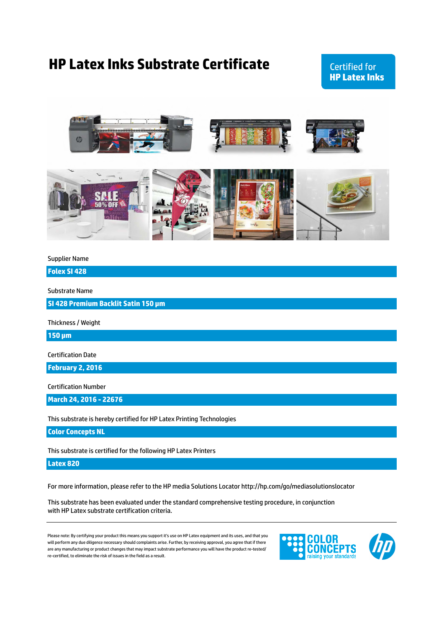## **HP Latex Inks Substrate Certificate**

**Certified for HP Latex Inks** 



#### Supplier Name

**Folex SI 428**

Substrate Name

**SI 428 Premium Backlit Satin 150 µm**

Thickness / Weight

**150 µm**

Certification Date

**February 2, 2016**

Certification Number

**March 24, 2016 - 22676**

This substrate is hereby certified for HP Latex Printing Technologies

**Color Concepts NL**

This substrate is certified for the following HP Latex Printers

**Latex 820**

For more information, please refer to the HP media Solutions Locator http://hp.com/go/mediasolutionslocator

This substrate has been evaluated under the standard comprehensive testing procedure, in conjunction with HP Latex substrate certification criteria.

Please note: By certifying your product this means you support it's use on HP Latex equipment and its uses, and that you will perform any due diligence necessary should complaints arise. Further, by receiving approval, you agree that if there are any manufacturing or product changes that may impact substrate performance you will have the product re-tested/ re-certified, to eliminate the risk of issues in the field as a result.

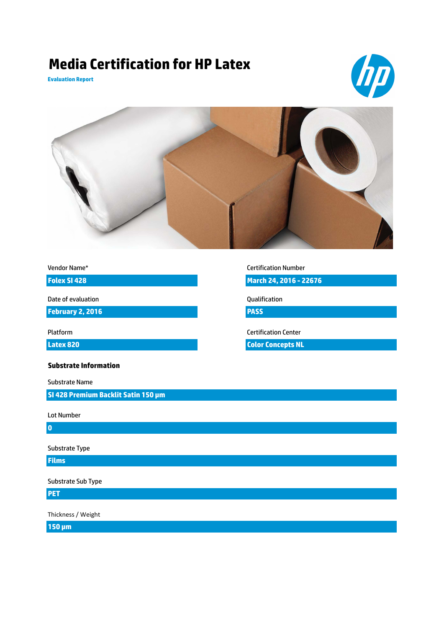# **Media Certification for HP Latex**

**Evaluation Report**





Vendor Name\*

**Folex SI 428**

Date of evaluation

**February 2, 2016**

**Latex 820**

**Substrate Information**

Substrate Name

**SI 428 Premium Backlit Satin 150 µm**

Lot Number

**0**

Substrate Type

**Films**

Substrate Sub Type

**PET**

Thickness / Weight

**150 µm**

#### Certification Number

**March 24, 2016 - 22676**

Qualification

**PASS**

Platform Certification Center

**Color Concepts NL**